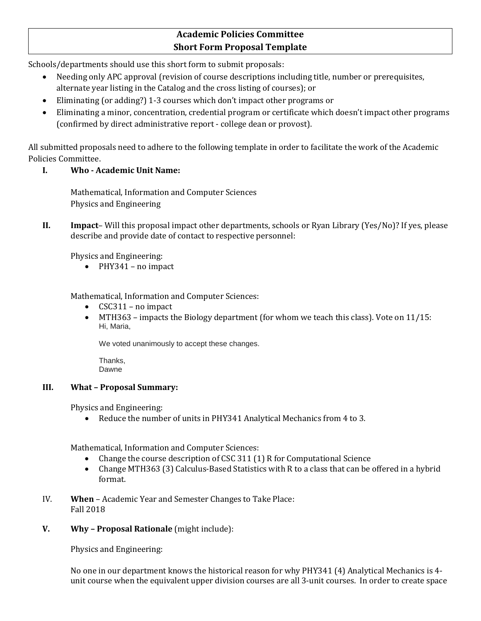# **Academic Policies Committee Short Form Proposal Template**

Schools/departments should use this short form to submit proposals:

- Needing only APC approval (revision of course descriptions including title, number or prerequisites, alternate year listing in the Catalog and the cross listing of courses); or
- Eliminating (or adding?) 1-3 courses which don't impact other programs or
- Eliminating a minor, concentration, credential program or certificate which doesn't impact other programs (confirmed by direct administrative report - college dean or provost).

All submitted proposals need to adhere to the following template in order to facilitate the work of the Academic Policies Committee.

## **I. Who - Academic Unit Name:**

Mathematical, Information and Computer Sciences Physics and Engineering

**II. Impact**– Will this proposal impact other departments, schools or Ryan Library (Yes/No)? If yes, please describe and provide date of contact to respective personnel:

Physics and Engineering:

• PHY341 – no impact

Mathematical, Information and Computer Sciences:

- CSC311 no impact
- MTH363 impacts the Biology department (for whom we teach this class). Vote on  $11/15$ : Hi, Maria,

We voted unanimously to accept these changes.

Thanks, Dawne

#### **III. What – Proposal Summary:**

Physics and Engineering:

• Reduce the number of units in PHY341 Analytical Mechanics from 4 to 3.

Mathematical, Information and Computer Sciences:

- Change the course description of CSC 311 (1) R for Computational Science
- Change MTH363 (3) Calculus-Based Statistics with R to a class that can be offered in a hybrid format.
- IV. **When** Academic Year and Semester Changes to Take Place: Fall 2018
- **V. Why – Proposal Rationale** (might include):

Physics and Engineering:

No one in our department knows the historical reason for why PHY341 (4) Analytical Mechanics is 4 unit course when the equivalent upper division courses are all 3-unit courses. In order to create space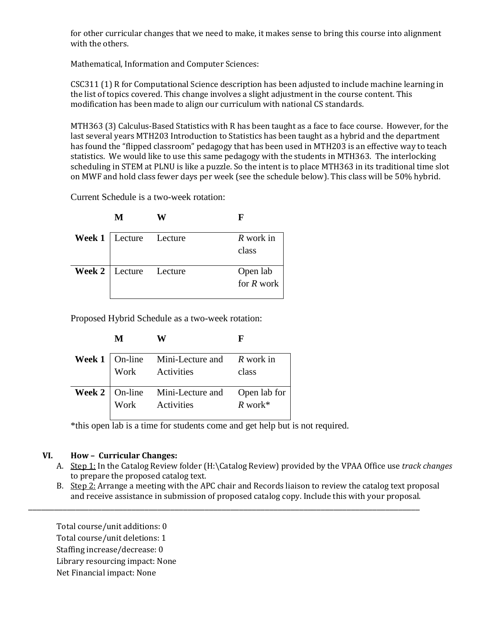for other curricular changes that we need to make, it makes sense to bring this course into alignment with the others.

Mathematical, Information and Computer Sciences:

CSC311 (1) R for Computational Science description has been adjusted to include machine learning in the list of topics covered. This change involves a slight adjustment in the course content. This modification has been made to align our curriculum with national CS standards.

MTH363 (3) Calculus-Based Statistics with R has been taught as a face to face course. However, for the last several years MTH203 Introduction to Statistics has been taught as a hybrid and the department has found the "flipped classroom" pedagogy that has been used in MTH203 is an effective way to teach statistics. We would like to use this same pedagogy with the students in MTH363. The interlocking scheduling in STEM at PLNU is like a puzzle. So the intent is to place MTH363 in its traditional time slot on MWF and hold class fewer days per week (see the schedule below). This class will be 50% hybrid.

Current Schedule is a two-week rotation:

| M                               | F                        |
|---------------------------------|--------------------------|
| Week 1   Lecture Lecture        | R work in<br>class       |
| <b>Week 2</b>   Lecture Lecture | Open lab<br>for $R$ work |

Proposed Hybrid Schedule as a two-week rotation:

| $\mathbf M$ | $\mathbf{X}$ | г |
|-------------|--------------|---|
|             |              |   |

|  | <b>Week 1</b> On-line Mini-Lecture and $R$ work in<br>Work Activities class      |  |
|--|----------------------------------------------------------------------------------|--|
|  | <b>Week 2</b> On-line Mini-Lecture and Open lab for<br>Work Activities $R$ work* |  |

\*this open lab is a time for students come and get help but is not required.

#### **VI. How – Curricular Changes:**

- A. Step 1: In the Catalog Review folder (H:\Catalog Review) provided by the VPAA Office use *track changes* to prepare the proposed catalog text.
- B. Step 2: Arrange a meeting with the APC chair and Records liaison to review the catalog text proposal and receive assistance in submission of proposed catalog copy. Include this with your proposal.

\_\_\_\_\_\_\_\_\_\_\_\_\_\_\_\_\_\_\_\_\_\_\_\_\_\_\_\_\_\_\_\_\_\_\_\_\_\_\_\_\_\_\_\_\_\_\_\_\_\_\_\_\_\_\_\_\_\_\_\_\_\_\_\_\_\_\_\_\_\_\_\_\_\_\_\_\_\_\_\_\_\_\_\_\_\_\_\_\_\_\_

Total course/unit additions: 0 Total course/unit deletions: 1 Staffing increase/decrease: 0 Library resourcing impact: None Net Financial impact: None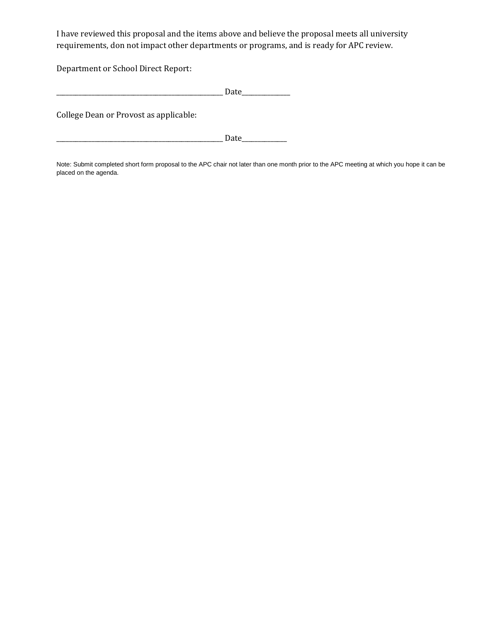I have reviewed this proposal and the items above and believe the proposal meets all university requirements, don not impact other departments or programs, and is ready for APC review.

Department or School Direct Report:

College Dean or Provost as applicable:

\_\_\_\_\_\_\_\_\_\_\_\_\_\_\_\_\_\_\_\_\_\_\_\_\_\_\_\_\_\_\_\_\_\_\_\_\_\_\_\_\_\_\_\_\_\_\_\_\_\_\_\_ Date\_\_\_\_\_\_\_\_\_\_\_\_\_\_

Note: Submit completed short form proposal to the APC chair not later than one month prior to the APC meeting at which you hope it can be placed on the agenda.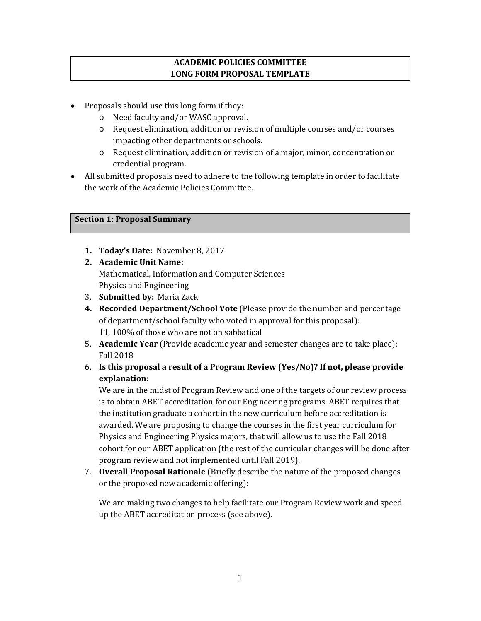## **ACADEMIC POLICIES COMMITTEE LONG FORM PROPOSAL TEMPLATE**

- Proposals should use this long form if they:
	- o Need faculty and/or WASC approval.
	- o Request elimination, addition or revision of multiple courses and/or courses impacting other departments or schools.
	- o Request elimination, addition or revision of a major, minor, concentration or credential program.
- All submitted proposals need to adhere to the following template in order to facilitate the work of the Academic Policies Committee.

## **Section 1: Proposal Summary**

- **1. Today's Date:** November 8, 2017
- **2. Academic Unit Name:**  Mathematical, Information and Computer Sciences Physics and Engineering
- 3. **Submitted by:** Maria Zack
- **4. Recorded Department/School Vote** (Please provide the number and percentage of department/school faculty who voted in approval for this proposal): 11, 100% of those who are not on sabbatical
- 5. **Academic Year** (Provide academic year and semester changes are to take place): Fall 2018
- 6. **Is this proposal a result of a Program Review (Yes/No)? If not, please provide explanation:**

We are in the midst of Program Review and one of the targets of our review process is to obtain ABET accreditation for our Engineering programs. ABET requires that the institution graduate a cohort in the new curriculum before accreditation is awarded. We are proposing to change the courses in the first year curriculum for Physics and Engineering Physics majors, that will allow us to use the Fall 2018 cohort for our ABET application (the rest of the curricular changes will be done after program review and not implemented until Fall 2019).

7. **Overall Proposal Rationale** (Briefly describe the nature of the proposed changes or the proposed new academic offering):

We are making two changes to help facilitate our Program Review work and speed up the ABET accreditation process (see above).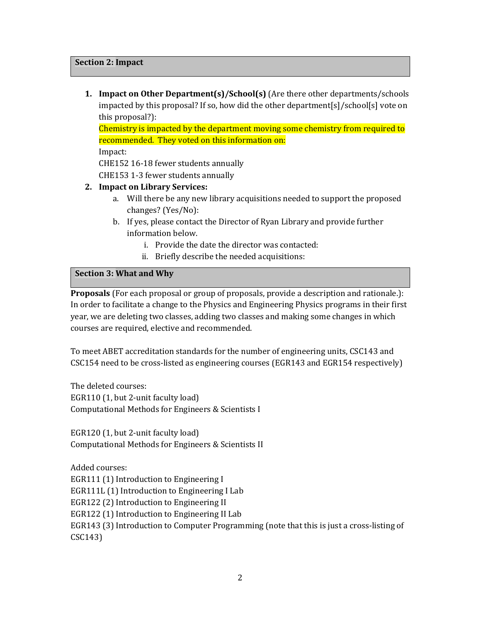**1. Impact on Other Department(s)/School(s)** (Are there other departments/schools impacted by this proposal? If so, how did the other department[s]/school[s] vote on this proposal?):

Chemistry is impacted by the department moving some chemistry from required to recommended. They voted on this information on:

Impact:

CHE152 16-18 fewer students annually

CHE153 1-3 fewer students annually

#### **2. Impact on Library Services:**

- a. Will there be any new library acquisitions needed to support the proposed changes? (Yes/No):
- b. If yes, please contact the Director of Ryan Library and provide further information below.
	- i. Provide the date the director was contacted:
	- ii. Briefly describe the needed acquisitions:

### **Section 3: What and Why**

**Proposals** (For each proposal or group of proposals, provide a description and rationale.): In order to facilitate a change to the Physics and Engineering Physics programs in their first year, we are deleting two classes, adding two classes and making some changes in which courses are required, elective and recommended.

To meet ABET accreditation standards for the number of engineering units, CSC143 and CSC154 need to be cross-listed as engineering courses (EGR143 and EGR154 respectively)

The deleted courses: EGR110 (1, but 2-unit faculty load) Computational Methods for Engineers & Scientists I

EGR120 (1, but 2-unit faculty load) Computational Methods for Engineers & Scientists II

Added courses: EGR111 (1) Introduction to Engineering I EGR111L (1) Introduction to Engineering I Lab EGR122 (2) Introduction to Engineering II EGR122 (1) Introduction to Engineering II Lab EGR143 (3) Introduction to Computer Programming (note that this is just a cross-listing of CSC143)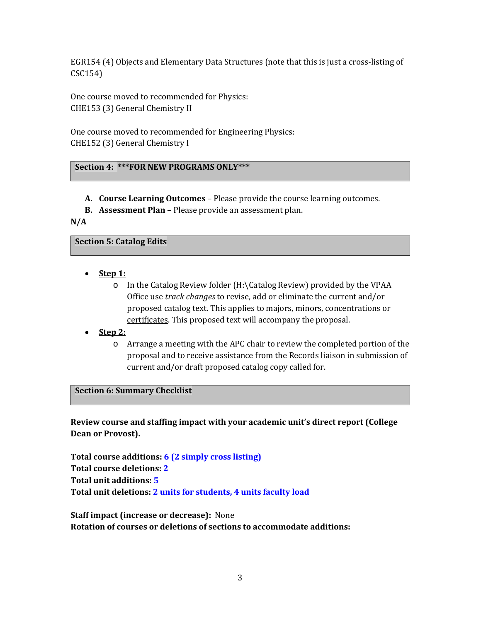EGR154 (4) Objects and Elementary Data Structures (note that this is just a cross-listing of CSC154)

One course moved to recommended for Physics: CHE153 (3) General Chemistry II

One course moved to recommended for Engineering Physics: CHE152 (3) General Chemistry I

## **Section 4: \*\*\*FOR NEW PROGRAMS ONLY\*\*\***

- **A. Course Learning Outcomes** Please provide the course learning outcomes.
- **B. Assessment Plan** Please provide an assessment plan.

**N/A**

#### **Section 5: Catalog Edits**

- **Step 1:**
	- o In the Catalog Review folder (H:\Catalog Review) provided by the VPAA Office use *track changes* to revise, add or eliminate the current and/or proposed catalog text. This applies to majors, minors, concentrations or certificates. This proposed text will accompany the proposal.
- **Step 2:**
	- o Arrange a meeting with the APC chair to review the completed portion of the proposal and to receive assistance from the Records liaison in submission of current and/or draft proposed catalog copy called for.

#### **Section 6: Summary Checklist**

**Review course and staffing impact with your academic unit's direct report (College Dean or Provost).**

**Total course additions: 6 (2 simply cross listing) Total course deletions: 2 Total unit additions: 5 Total unit deletions: 2 units for students, 4 units faculty load**

**Staff impact (increase or decrease):** None **Rotation of courses or deletions of sections to accommodate additions:**